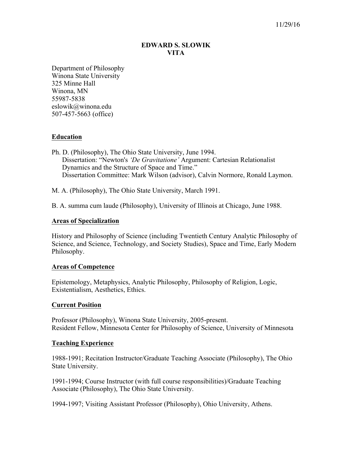# **EDWARD S. SLOWIK VITA**

Department of Philosophy Winona State University 325 Minne Hall Winona, MN 55987-5838 eslowik@winona.edu 507-457-5663 (office)

# **Education**

Ph. D. (Philosophy), The Ohio State University, June 1994. Dissertation: "Newton's *'De Gravitatione'* Argument: Cartesian Relationalist Dynamics and the Structure of Space and Time." Dissertation Committee: Mark Wilson (advisor), Calvin Normore, Ronald Laymon.

M. A. (Philosophy), The Ohio State University, March 1991.

B. A. summa cum laude (Philosophy), University of Illinois at Chicago, June 1988.

# **Areas of Specialization**

History and Philosophy of Science (including Twentieth Century Analytic Philosophy of Science, and Science, Technology, and Society Studies), Space and Time, Early Modern Philosophy.

### **Areas of Competence**

Epistemology, Metaphysics, Analytic Philosophy, Philosophy of Religion, Logic, Existentialism, Aesthetics, Ethics.

# **Current Position**

Professor (Philosophy), Winona State University, 2005-present. Resident Fellow, Minnesota Center for Philosophy of Science, University of Minnesota

### **Teaching Experience**

1988-1991; Recitation Instructor/Graduate Teaching Associate (Philosophy), The Ohio State University.

1991-1994; Course Instructor (with full course responsibilities)/Graduate Teaching Associate (Philosophy), The Ohio State University.

1994-1997; Visiting Assistant Professor (Philosophy), Ohio University, Athens.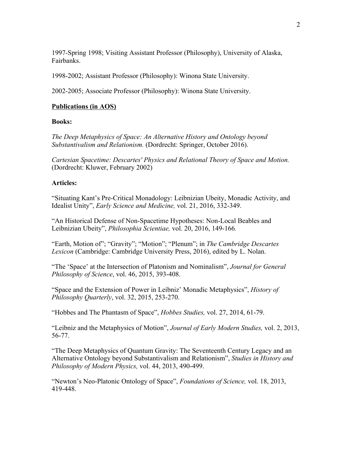1997-Spring 1998; Visiting Assistant Professor (Philosophy), University of Alaska, Fairbanks.

1998-2002; Assistant Professor (Philosophy): Winona State University.

2002-2005; Associate Professor (Philosophy): Winona State University.

#### **Publications (in AOS)**

#### **Books:**

*The Deep Metaphysics of Space: An Alternative History and Ontology beyond Substantivalism and Relationism.* (Dordrecht: Springer, October 2016).

*Cartesian Spacetime: Descartes' Physics and Relational Theory of Space and Motion.* (Dordrecht: Kluwer, February 2002)

### **Articles:**

"Situating Kant's Pre-Critical Monadology: Leibnizian Ubeity, Monadic Activity, and Idealist Unity", *Early Science and Medicine,* vol. 21, 2016, 332-349.

"An Historical Defense of Non-Spacetime Hypotheses: Non-Local Beables and Leibnizian Ubeity", *Philosophia Scientiae,* vol. 20, 2016, 149-166*.*

"Earth, Motion of"; "Gravity"; "Motion"; "Plenum"; in *The Cambridge Descartes Lexicon* (Cambridge: Cambridge University Press, 2016), edited by L. Nolan.

"The 'Space' at the Intersection of Platonism and Nominalism", *Journal for General Philosophy of Science*, vol. 46, 2015, 393-408.

"Space and the Extension of Power in Leibniz' Monadic Metaphysics", *History of Philosophy Quarterly*, vol. 32, 2015, 253-270.

"Hobbes and The Phantasm of Space", *Hobbes Studies,* vol. 27, 2014, 61-79.

"Leibniz and the Metaphysics of Motion", *Journal of Early Modern Studies,* vol. 2, 2013, 56-77.

"The Deep Metaphysics of Quantum Gravity: The Seventeenth Century Legacy and an Alternative Ontology beyond Substantivalism and Relationism", *Studies in History and Philosophy of Modern Physics,* vol. 44, 2013, 490-499.

"Newton's Neo-Platonic Ontology of Space", *Foundations of Science,* vol. 18, 2013, 419-448.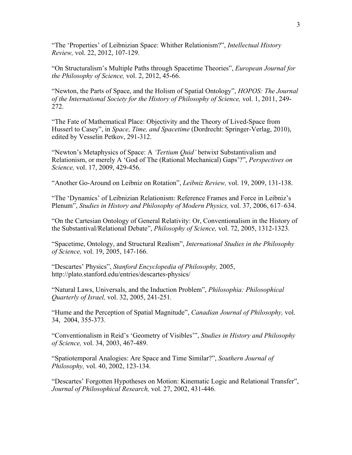"The 'Properties' of Leibnizian Space: Whither Relationism?", *Intellectual History Review,* vol. 22, 2012, 107-129.

"On Structuralism's Multiple Paths through Spacetime Theories", *European Journal for the Philosophy of Science,* vol. 2, 2012, 45-66.

"Newton, the Parts of Space, and the Holism of Spatial Ontology", *HOPOS: The Journal of the International Society for the History of Philosophy of Science,* vol. 1, 2011, 249- 272.

"The Fate of Mathematical Place: Objectivity and the Theory of Lived-Space from Husserl to Casey", in *Space, Time, and Spacetime* (Dordrecht: Springer-Verlag, 2010), edited by Vesselin Petkov, 291-312.

"Newton's Metaphysics of Space: A *'Tertium Quid'* betwixt Substantivalism and Relationism, or merely A 'God of The (Rational Mechanical) Gaps'?", *Perspectives on Science,* vol. 17, 2009, 429-456.

"Another Go-Around on Leibniz on Rotation", *Leibniz Review,* vol. 19, 2009, 131-138.

"The 'Dynamics' of Leibnizian Relationism: Reference Frames and Force in Leibniz's Plenum", *Studies in History and Philosophy of Modern Physics,* vol. 37, 2006, 617–634.

"On the Cartesian Ontology of General Relativity: Or, Conventionalism in the History of the Substantival/Relational Debate", *Philosophy of Science,* vol. 72, 2005, 1312-1323*.*

"Spacetime, Ontology, and Structural Realism", *International Studies in the Philosophy of Science,* vol. 19, 2005, 147-166.

"Descartes' Physics", *Stanford Encyclopedia of Philosophy,* 2005, http://plato.stanford.edu/entries/descartes-physics/

"Natural Laws, Universals, and the Induction Problem", *Philosophia: Philosophical Quarterly of Israel,* vol. 32, 2005, 241-251*.*

"Hume and the Perception of Spatial Magnitude", *Canadian Journal of Philosophy,* vol. 34, 2004, 355-373*.*

"Conventionalism in Reid's 'Geometry of Visibles'", *Studies in History and Philosophy of Science,* vol. 34, 2003, 467-489.

"Spatiotemporal Analogies: Are Space and Time Similar?", *Southern Journal of Philosophy,* vol. 40, 2002, 123-134.

"Descartes' Forgotten Hypotheses on Motion: Kinematic Logic and Relational Transfer", *Journal of Philosophical Research,* vol. 27, 2002, 431-446.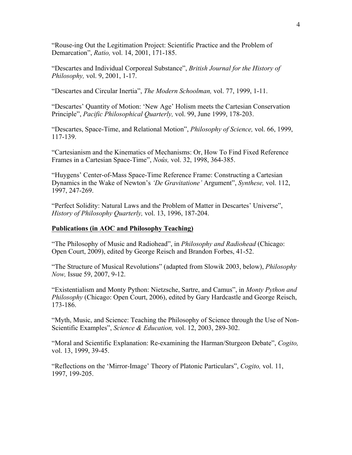"Rouse-ing Out the Legitimation Project: Scientific Practice and the Problem of Demarcation", *Ratio,* vol. 14, 2001, 171-185.

"Descartes and Individual Corporeal Substance", *British Journal for the History of Philosophy,* vol. 9, 2001, 1-17.

"Descartes and Circular Inertia", *The Modern Schoolman,* vol. 77, 1999, 1-11.

"Descartes' Quantity of Motion: 'New Age' Holism meets the Cartesian Conservation Principle", *Pacific Philosophical Quarterly,* vol. 99, June 1999, 178-203.

"Descartes, Space-Time, and Relational Motion", *Philosophy of Science,* vol. 66, 1999, 117-139.

"Cartesianism and the Kinematics of Mechanisms: Or, How To Find Fixed Reference Frames in a Cartesian Space-Time", *Noûs,* vol. 32, 1998, 364-385.

"Huygens' Center-of-Mass Space-Time Reference Frame: Constructing a Cartesian Dynamics in the Wake of Newton's *'De Gravitatione'* Argument", *Synthese,* vol. 112, 1997, 247-269.

"Perfect Solidity: Natural Laws and the Problem of Matter in Descartes' Universe", *History of Philosophy Quarterly,* vol. 13, 1996, 187-204.

# **Publications (in AOC and Philosophy Teaching)**

"The Philosophy of Music and Radiohead", in *Philosophy and Radiohead* (Chicago: Open Court, 2009), edited by George Reisch and Brandon Forbes, 41-52.

"The Structure of Musical Revolutions" (adapted from Slowik 2003, below), *Philosophy Now,* Issue 59, 2007, 9-12.

"Existentialism and Monty Python: Nietzsche, Sartre, and Camus", in *Monty Python and Philosophy* (Chicago: Open Court, 2006), edited by Gary Hardcastle and George Reisch, 173-186.

"Myth, Music, and Science: Teaching the Philosophy of Science through the Use of Non-Scientific Examples", *Science & Education,* vol. 12, 2003, 289-302.

"Moral and Scientific Explanation: Re-examining the Harman/Sturgeon Debate", *Cogito,* vol. 13, 1999, 39-45.

"Reflections on the 'Mirror-Image' Theory of Platonic Particulars", *Cogito,* vol. 11, 1997, 199-205.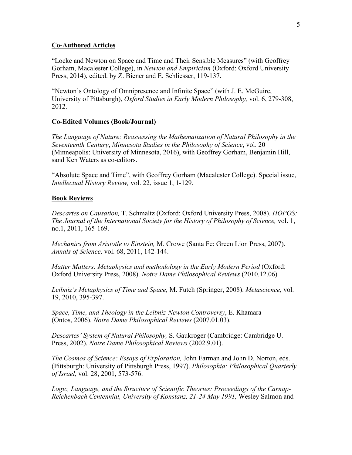### **Co-Authored Articles**

"Locke and Newton on Space and Time and Their Sensible Measures" (with Geoffrey Gorham, Macalester College), in *Newton and Empiricism* (Oxford: Oxford University Press, 2014), edited. by Z. Biener and E. Schliesser, 119-137.

"Newton's Ontology of Omnipresence and Infinite Space" (with J. E. McGuire, University of Pittsburgh), *Oxford Studies in Early Modern Philosophy,* vol. 6, 279-308, 2012.

# **Co-Edited Volumes (Book/Journal)**

*The Language of Nature: Reassessing the Mathematization of Natural Philosophy in the Seventeenth Century*, *Minnesota Studies in the Philosophy of Science*, vol. 20 (Minneapolis: University of Minnesota, 2016), with Geoffrey Gorham, Benjamin Hill, sand Ken Waters as co-editors.

"Absolute Space and Time", with Geoffrey Gorham (Macalester College). Special issue, *Intellectual History Review,* vol. 22, issue 1, 1-129.

# **Book Reviews**

*Descartes on Causation,* T. Schmaltz (Oxford: Oxford University Press, 2008). *HOPOS: The Journal of the International Society for the History of Philosophy of Science,* vol. 1, no.1, 2011, 165-169.

*Mechanics from Aristotle to Einstein,* M. Crowe (Santa Fe: Green Lion Press, 2007). *Annals of Science,* vol. 68, 2011, 142-144.

*Matter Matters: Metaphysics and methodology in the Early Modern Period* (Oxford: Oxford University Press, 2008). *Notre Dame Philosophical Reviews* (2010.12.06)

*Leibniz's Metaphysics of Time and Space,* M. Futch (Springer, 2008). *Metascience,* vol. 19, 2010, 395-397.

*Space, Time, and Theology in the Leibniz-Newton Controversy*, E. Khamara (Ontos, 2006). *Notre Dame Philosophical Reviews* (2007.01.03).

*Descartes' System of Natural Philosophy,* S. Gaukroger (Cambridge: Cambridge U. Press, 2002). *Notre Dame Philosophical Reviews* (2002.9.01).

*The Cosmos of Science: Essays of Exploration,* John Earman and John D. Norton, eds. (Pittsburgh: University of Pittsburgh Press, 1997). *Philosophia: Philosophical Quarterly of Israel,* vol. 28, 2001, 573-576.

*Logic, Language, and the Structure of Scientific Theories: Proceedings of the Carnap-Reichenbach Centennial, University of Konstanz, 21-24 May 1991,* Wesley Salmon and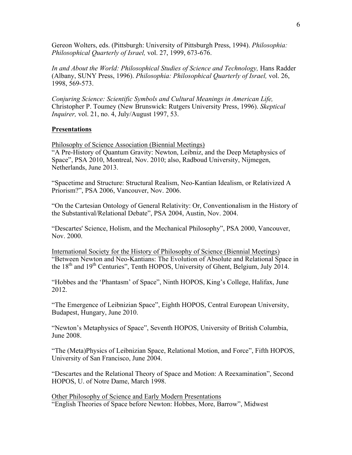Gereon Wolters, eds. (Pittsburgh: University of Pittsburgh Press, 1994). *Philosophia: Philosophical Quarterly of Israel,* vol. 27, 1999, 673-676.

*In and About the World: Philosophical Studies of Science and Technology,* Hans Radder (Albany, SUNY Press, 1996). *Philosophia: Philosophical Quarterly of Israel,* vol. 26, 1998, 569-573.

*Conjuring Science: Scientific Symbols and Cultural Meanings in American Life,* Christopher P. Toumey (New Brunswick: Rutgers University Press, 1996). *Skeptical Inquirer,* vol. 21, no. 4, July/August 1997, 53.

### **Presentations**

Philosophy of Science Association (Biennial Meetings)

"A Pre-History of Quantum Gravity: Newton, Leibniz, and the Deep Metaphysics of Space", PSA 2010, Montreal, Nov. 2010; also, Radboud University, Nijmegen, Netherlands, June 2013.

"Spacetime and Structure: Structural Realism, Neo-Kantian Idealism, or Relativized A Priorism?", PSA 2006, Vancouver, Nov. 2006.

"On the Cartesian Ontology of General Relativity: Or, Conventionalism in the History of the Substantival/Relational Debate", PSA 2004, Austin, Nov. 2004.

"Descartes' Science, Holism, and the Mechanical Philosophy", PSA 2000, Vancouver, Nov. 2000.

International Society for the History of Philosophy of Science (Biennial Meetings) "Between Newton and Neo-Kantians: The Evolution of Absolute and Relational Space in the  $18<sup>th</sup>$  and  $19<sup>th</sup>$  Centuries", Tenth HOPOS, University of Ghent, Belgium, July 2014.

"Hobbes and the 'Phantasm' of Space", Ninth HOPOS, King's College, Halifax, June 2012.

"The Emergence of Leibnizian Space", Eighth HOPOS, Central European University, Budapest, Hungary, June 2010.

"Newton's Metaphysics of Space", Seventh HOPOS, University of British Columbia, June 2008.

"The (Meta)Physics of Leibnizian Space, Relational Motion, and Force", Fifth HOPOS, University of San Francisco, June 2004.

"Descartes and the Relational Theory of Space and Motion: A Reexamination", Second HOPOS, U. of Notre Dame, March 1998.

Other Philosophy of Science and Early Modern Presentations "English Theories of Space before Newton: Hobbes, More, Barrow", Midwest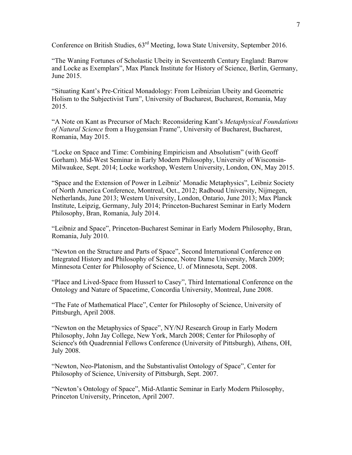Conference on British Studies, 63rd Meeting, Iowa State University, September 2016.

"The Waning Fortunes of Scholastic Ubeity in Seventeenth Century England: Barrow and Locke as Exemplars", Max Planck Institute for History of Science, Berlin, Germany, June 2015.

"Situating Kant's Pre-Critical Monadology: From Leibnizian Ubeity and Geometric Holism to the Subjectivist Turn", University of Bucharest, Bucharest, Romania, May 2015.

"A Note on Kant as Precursor of Mach: Reconsidering Kant's *Metaphysical Foundations of Natural Science* from a Huygensian Frame", University of Bucharest, Bucharest, Romania, May 2015.

"Locke on Space and Time: Combining Empiricism and Absolutism" (with Geoff Gorham). Mid-West Seminar in Early Modern Philosophy, University of Wisconsin-Milwaukee, Sept. 2014; Locke workshop, Western University, London, ON, May 2015.

"Space and the Extension of Power in Leibniz' Monadic Metaphysics", Leibniz Society of North America Conference, Montreal, Oct., 2012; Radboud University, Nijmegen, Netherlands, June 2013; Western University, London, Ontario, June 2013; Max Planck Institute, Leipzig, Germany, July 2014; Princeton-Bucharest Seminar in Early Modern Philosophy, Bran, Romania, July 2014.

"Leibniz and Space", Princeton-Bucharest Seminar in Early Modern Philosophy, Bran, Romania, July 2010.

"Newton on the Structure and Parts of Space", Second International Conference on Integrated History and Philosophy of Science, Notre Dame University, March 2009; Minnesota Center for Philosophy of Science, U. of Minnesota, Sept. 2008.

"Place and Lived-Space from Husserl to Casey", Third International Conference on the Ontology and Nature of Spacetime, Concordia University, Montreal, June 2008.

"The Fate of Mathematical Place", Center for Philosophy of Science, University of Pittsburgh, April 2008.

"Newton on the Metaphysics of Space", NY/NJ Research Group in Early Modern Philosophy, John Jay College, New York, March 2008; Center for Philosophy of Science's 6th Quadrennial Fellows Conference (University of Pittsburgh), Athens, OH, July 2008.

"Newton, Neo-Platonism, and the Substantivalist Ontology of Space", Center for Philosophy of Science, University of Pittsburgh, Sept. 2007.

"Newton's Ontology of Space", Mid-Atlantic Seminar in Early Modern Philosophy, Princeton University, Princeton, April 2007.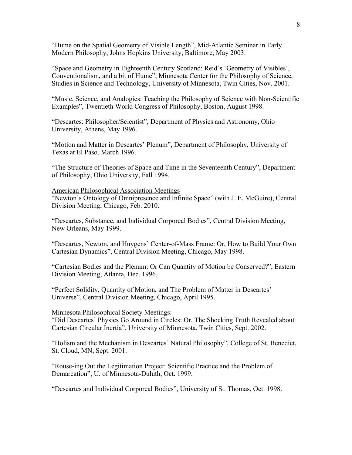"Hume on the Spatial Geometry of Visible Length", Mid-Atlantic Seminar in Early Modern Philosophy, Johns Hopkins University, Baltimore, May 2003.

"Space and Geometry in Eighteenth Century Scotland: Reid's 'Geometry of Visibles', Conventionalism, and a bit of Hume", Minnesota Center for the Philosophy of Science, Studies in Science and Technology, University of Minnesota, Twin Cities, Nov. 2001.

"Music, Science, and Analogies: Teaching the Philosophy of Science with Non-Scientific Examples", Twentieth World Congress of Philosophy, Boston, August 1998.

"Descartes: Philosopher/Scientist", Department of Physics and Astronomy, Ohio University, Athens, May 1996.

"Motion and Matter in Descartes' Plenum", Department of Philosophy, University of Texas at El Paso, March 1996.

"The Structure of Theories of Space and Time in the Seventeenth Century", Department of Philosophy, Ohio University, Fall 1994.

#### American Philosophical Association Meetings

"Newton's Ontology of Omnipresence and Infinite Space" (with J. E. McGuire), Central Division Meeting, Chicago, Feb. 2010.

"Descartes, Substance, and Individual Corporeal Bodies", Central Division Meeting, New Orleans, May 1999.

"Descartes, Newton, and Huygens' Center-of-Mass Frame: Or, How to Build Your Own Cartesian Dynamics", Central Division Meeting, Chicago, May 1998.

"Cartesian Bodies and the Plenum: Or Can Quantity of Motion be Conserved?", Eastern Division Meeting, Atlanta, Dec. 1996.

"Perfect Solidity, Quantity of Motion, and The Problem of Matter in Descartes' Universe", Central Division Meeting, Chicago, April 1995.

### Minnesota Philosophical Society Meetings:

"Did Descartes' Physics Go Around in Circles: Or, The Shocking Truth Revealed about Cartesian Circular Inertia", University of Minnesota, Twin Cities, Sept. 2002.

"Holism and the Mechanism in Descartes' Natural Philosophy", College of St. Benedict, St. Cloud, MN, Sept. 2001.

"Rouse-ing Out the Legitimation Project: Scientific Practice and the Problem of Demarcation", U. of Minnesota-Duluth, Oct. 1999.

"Descartes and Individual Corporeal Bodies", University of St. Thomas, Oct. 1998.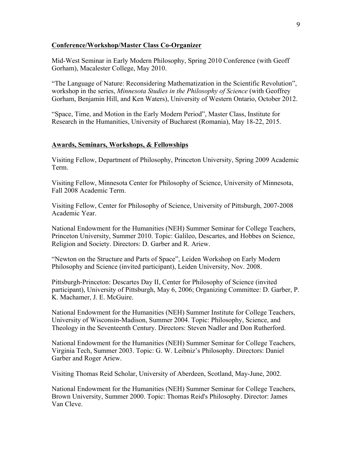### **Conference/Workshop/Master Class Co-Organizer**

Mid-West Seminar in Early Modern Philosophy, Spring 2010 Conference (with Geoff Gorham), Macalester College, May 2010.

"The Language of Nature: Reconsidering Mathematization in the Scientific Revolution", workshop in the series, *Minnesota Studies in the Philosophy of Science* (with Geoffrey Gorham, Benjamin Hill, and Ken Waters), University of Western Ontario, October 2012.

"Space, Time, and Motion in the Early Modern Period", Master Class, Institute for Research in the Humanities, University of Bucharest (Romania), May 18-22, 2015.

### **Awards, Seminars, Workshops, & Fellowships**

Visiting Fellow, Department of Philosophy, Princeton University, Spring 2009 Academic Term.

Visiting Fellow, Minnesota Center for Philosophy of Science, University of Minnesota, Fall 2008 Academic Term.

Visiting Fellow, Center for Philosophy of Science, University of Pittsburgh, 2007-2008 Academic Year.

National Endowment for the Humanities (NEH) Summer Seminar for College Teachers, Princeton University, Summer 2010. Topic: Galileo, Descartes, and Hobbes on Science, Religion and Society. Directors: D. Garber and R. Ariew.

"Newton on the Structure and Parts of Space", Leiden Workshop on Early Modern Philosophy and Science (invited participant), Leiden University, Nov. 2008.

Pittsburgh-Princeton: Descartes Day II, Center for Philosophy of Science (invited participant), University of Pittsburgh, May 6, 2006; Organizing Committee: D. Garber, P. K. Machamer, J. E. McGuire.

National Endowment for the Humanities (NEH) Summer Institute for College Teachers, University of Wisconsin-Madison, Summer 2004. Topic: Philosophy, Science, and Theology in the Seventeenth Century. Directors: Steven Nadler and Don Rutherford.

National Endowment for the Humanities (NEH) Summer Seminar for College Teachers, Virginia Tech, Summer 2003. Topic: G. W. Leibniz's Philosophy. Directors: Daniel Garber and Roger Ariew.

Visiting Thomas Reid Scholar, University of Aberdeen, Scotland, May-June, 2002.

National Endowment for the Humanities (NEH) Summer Seminar for College Teachers, Brown University, Summer 2000. Topic: Thomas Reid's Philosophy. Director: James Van Cleve.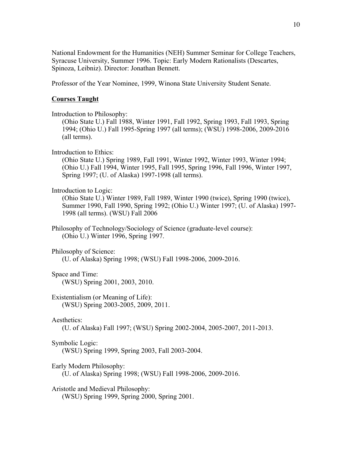National Endowment for the Humanities (NEH) Summer Seminar for College Teachers, Syracuse University, Summer 1996. Topic: Early Modern Rationalists (Descartes, Spinoza, Leibniz). Director: Jonathan Bennett.

Professor of the Year Nominee, 1999, Winona State University Student Senate.

# **Courses Taught**

Introduction to Philosophy:

(Ohio State U.) Fall 1988, Winter 1991, Fall 1992, Spring 1993, Fall 1993, Spring 1994; (Ohio U.) Fall 1995-Spring 1997 (all terms); (WSU) 1998-2006, 2009-2016 (all terms).

Introduction to Ethics:

(Ohio State U.) Spring 1989, Fall 1991, Winter 1992, Winter 1993, Winter 1994; (Ohio U.) Fall 1994, Winter 1995, Fall 1995, Spring 1996, Fall 1996, Winter 1997, Spring 1997; (U. of Alaska) 1997-1998 (all terms).

# Introduction to Logic:

(Ohio State U.) Winter 1989, Fall 1989, Winter 1990 (twice), Spring 1990 (twice), Summer 1990, Fall 1990, Spring 1992; (Ohio U.) Winter 1997; (U. of Alaska) 1997- 1998 (all terms). (WSU) Fall 2006

Philosophy of Technology/Sociology of Science (graduate-level course): (Ohio U.) Winter 1996, Spring 1997.

Philosophy of Science:

(U. of Alaska) Spring 1998; (WSU) Fall 1998-2006, 2009-2016.

# Space and Time:

(WSU) Spring 2001, 2003, 2010.

Existentialism (or Meaning of Life): (WSU) Spring 2003-2005, 2009, 2011.

### Aesthetics:

(U. of Alaska) Fall 1997; (WSU) Spring 2002-2004, 2005-2007, 2011-2013.

Symbolic Logic:

(WSU) Spring 1999, Spring 2003, Fall 2003-2004.

Early Modern Philosophy:

(U. of Alaska) Spring 1998; (WSU) Fall 1998-2006, 2009-2016.

Aristotle and Medieval Philosophy:

(WSU) Spring 1999, Spring 2000, Spring 2001.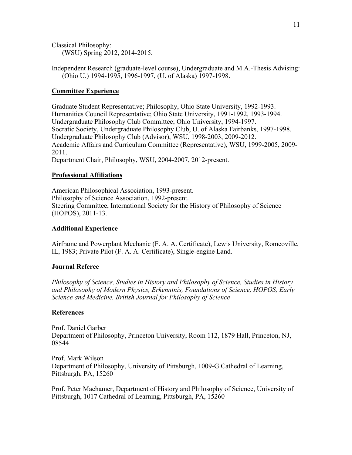Classical Philosophy: (WSU) Spring 2012, 2014-2015.

Independent Research (graduate-level course), Undergraduate and M.A.-Thesis Advising: (Ohio U.) 1994-1995, 1996-1997, (U. of Alaska) 1997-1998.

# **Committee Experience**

Graduate Student Representative; Philosophy, Ohio State University, 1992-1993. Humanities Council Representative; Ohio State University, 1991-1992, 1993-1994. Undergraduate Philosophy Club Committee; Ohio University, 1994-1997. Socratic Society, Undergraduate Philosophy Club, U. of Alaska Fairbanks, 1997-1998. Undergraduate Philosophy Club (Advisor), WSU, 1998-2003, 2009-2012. Academic Affairs and Curriculum Committee (Representative), WSU, 1999-2005, 2009- 2011. Department Chair, Philosophy, WSU, 2004-2007, 2012-present.

# **Professional Affiliations**

American Philosophical Association, 1993-present. Philosophy of Science Association, 1992-present. Steering Committee, International Society for the History of Philosophy of Science (HOPOS), 2011-13.

### **Additional Experience**

Airframe and Powerplant Mechanic (F. A. A. Certificate), Lewis University, Romeoville, IL, 1983; Private Pilot (F. A. A. Certificate), Single-engine Land.

### **Journal Referee**

*Philosophy of Science, Studies in History and Philosophy of Science, Studies in History and Philosophy of Modern Physics, Erkenntnis, Foundations of Science, HOPOS, Early Science and Medicine, British Journal for Philosophy of Science*

### **References**

Prof. Daniel Garber Department of Philosophy, Princeton University, Room 112, 1879 Hall, Princeton, NJ, 08544

Prof. Mark Wilson Department of Philosophy, University of Pittsburgh, 1009-G Cathedral of Learning, Pittsburgh, PA, 15260

Prof. Peter Machamer, Department of History and Philosophy of Science, University of Pittsburgh, 1017 Cathedral of Learning, Pittsburgh, PA, 15260